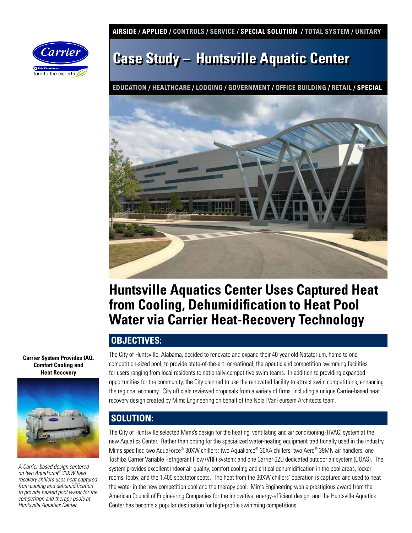**AIRSIDE / APPLIED / CONTROLS / SERVICE / SPECIAL SOLUTION / TOTAL SYSTEM / UNITARY** 



# **Case Study – Huntsville Aquatic Center**

**EDUCATION / HEALTHCARE / LODGING / GOVERNMENT / OFFICE BUILDING / RETAIL / SPECIAL**



## **Huntsville Aquatics Center Uses Captured Heat from Cooling, Dehumidification to Heat Pool Water via Carrier Heat-Recovery Technology**

#### **OBJECTIVES:**

**Carrier System Provides IAQ, Comfort Cooling and Heat Recovery**



*A Carrier-based design centered on two AquaForce® 30XW heat recovery chillers uses heat captured from cooling and dehumidification to provide heated pool water for the competition and therapy pools at Huntsville Aquatics Center.* 

The City of Huntsville, Alabama, decided to renovate and expand their 40-year-old Natatorium, home to one competition-sized pool, to provide state-of-the-art recreational, therapeutic and competition swimming facilities for users ranging from local residents to nationally-competitive swim teams. In addition to providing expanded opportunities for the community, the City planned to use the renovated facility to attract swim competitions, enhancing the regional economy. City officials reviewed proposals from a variety of firms, including a unique Carrier-based heat recovery design created by Mims Engineering on behalf of the Nola | VanPeursem Architects team.

## **SOLUTION:**

The City of Huntsville selected Mims's design for the heating, ventilating and air conditioning (HVAC) system at the new Aquatics Center. Rather than opting for the specialized water-heating equipment traditionally used in the industry, Mims specified two AquaForce® 30XW chillers; two AquaForce® 30XA chillers; two Aero® 39MN air handlers; one Toshiba Carrier Variable Refrigerant Flow (VRF) system; and one Carrier 62D dedicated outdoor air system (DOAS). The system provides excellent indoor air quality, comfort cooling and critical dehumidification in the pool areas, locker rooms, lobby, and the 1,400 spectator seats. The heat from the 30XW chillers' operation is captured and used to heat the water in the new competition pool and the therapy pool. Mims Engineering won a prestigious award from the American Council of Engineering Companies for the innovative, energy-efficient design, and the Huntsville Aquatics Center has become a popular destination for high-profile swimming competitions.